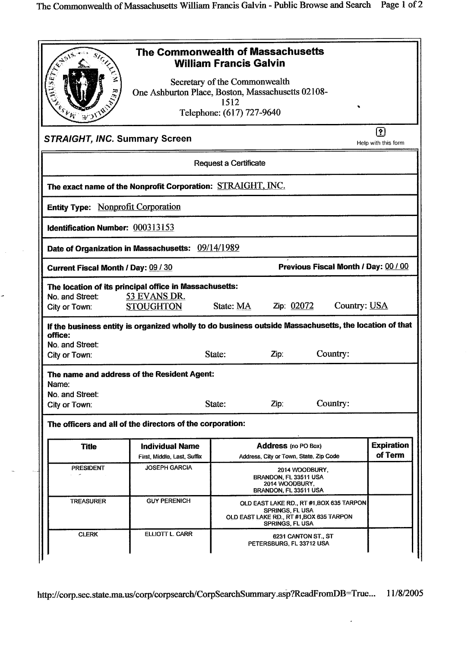| sic <sub>co</sub>                          | The Commonwealth of Massachusetts                                                                     | <b>William Francis Galvin</b>                                      |                                                                                              |                                          |                                           |
|--------------------------------------------|-------------------------------------------------------------------------------------------------------|--------------------------------------------------------------------|----------------------------------------------------------------------------------------------|------------------------------------------|-------------------------------------------|
| م<br>مخ<br><b>MARY AND ROAD</b>            | One Ashburton Place, Boston, Massachusetts 02108-                                                     | Secretary of the Commonwealth<br>1512<br>Telephone: (617) 727-9640 |                                                                                              |                                          |                                           |
| <b>STRAIGHT, INC. Summary Screen</b>       |                                                                                                       |                                                                    |                                                                                              |                                          | $\lceil  ? \rceil$<br>Help with this form |
|                                            |                                                                                                       | <b>Request a Certificate</b>                                       |                                                                                              |                                          |                                           |
|                                            | The exact name of the Nonprofit Corporation: STRAIGHT, INC.                                           |                                                                    |                                                                                              |                                          |                                           |
| <b>Entity Type: Nonprofit Corporation</b>  |                                                                                                       |                                                                    |                                                                                              |                                          |                                           |
| Identification Number: 000313153           |                                                                                                       |                                                                    |                                                                                              |                                          |                                           |
|                                            | Date of Organization in Massachusetts: 09/14/1989                                                     |                                                                    |                                                                                              |                                          |                                           |
| <b>Current Fiscal Month / Day: 09 / 30</b> |                                                                                                       |                                                                    |                                                                                              | Previous Fiscal Month / Day: 00 / 00     |                                           |
| No. and Street:                            | The location of its principal office in Massachusetts:<br>53 EVANS DR.                                |                                                                    |                                                                                              |                                          |                                           |
| City or Town:                              | <b>STOUGHTON</b>                                                                                      | State: MA                                                          | Zip: 02072                                                                                   | Country: USA                             |                                           |
| office:                                    | If the business entity is organized wholly to do business outside Massachusetts, the location of that |                                                                    |                                                                                              |                                          |                                           |
| No. and Street:<br>City or Town:           |                                                                                                       | State:                                                             | Zip:                                                                                         | Country:                                 |                                           |
|                                            |                                                                                                       |                                                                    |                                                                                              |                                          |                                           |
| Name:                                      | The name and address of the Resident Agent:                                                           |                                                                    |                                                                                              |                                          |                                           |
| No. and Street:<br>City or Town:           |                                                                                                       | State:                                                             | Zip:                                                                                         | Country:                                 |                                           |
|                                            | The officers and all of the directors of the corporation:                                             |                                                                    |                                                                                              |                                          |                                           |
| <b>Title</b>                               | <b>Individual Name</b><br>First, Middle, Last, Suffix                                                 |                                                                    | <b>Address</b> (no PO Box)<br>Address, City or Town, State, Zip Code                         |                                          | <b>Expiration</b><br>of Term              |
| <b>PRESIDENT</b>                           | <b>JOSEPH GARCIA</b>                                                                                  |                                                                    | 2014 WOODBURY,<br>BRANDON, FL 33511 USA<br>2014 WOODBURY.<br>BRANDON, FL 33511 USA           |                                          |                                           |
| <b>TREASURER</b>                           | <b>GUY PERENICH</b>                                                                                   |                                                                    | <b>SPRINGS, FL USA</b><br>OLD EAST LAKE RD., RT #1, BOX 635 TARPON<br><b>SPRINGS, FL USA</b> | OLD EAST LAKE RD., RT #1, BOX 635 TARPON |                                           |
| <b>CLERK</b>                               | ELLIOTT L. CARR                                                                                       |                                                                    | 6231 CANTON ST., ST<br>PETERSBURG, FL 33712 USA                                              |                                          |                                           |
|                                            |                                                                                                       |                                                                    |                                                                                              |                                          |                                           |

 $\hat{\boldsymbol{\cdot} }$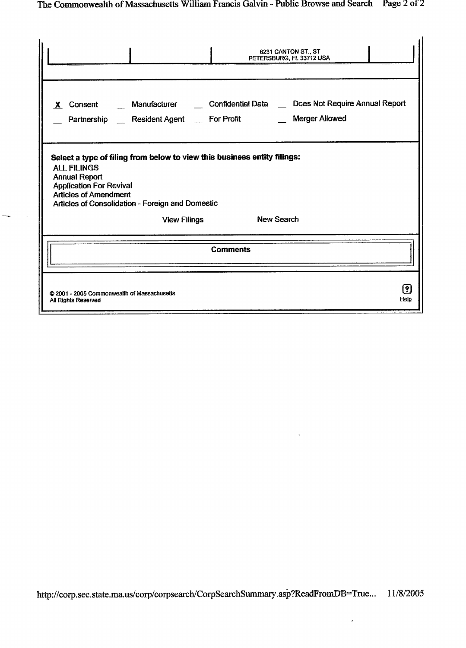|                                                                                                                                                                                                                                              | 6231 CANTON ST., ST<br>PETERSBURG, FL 33712 USA                                            |                    |
|----------------------------------------------------------------------------------------------------------------------------------------------------------------------------------------------------------------------------------------------|--------------------------------------------------------------------------------------------|--------------------|
| <b>Manufacturer</b><br>Consent<br>X.<br><b>Resident Agent</b><br>Partnership                                                                                                                                                                 | Confidential Data __ Does Not Require Annual Report<br><b>Merger Allowed</b><br>For Profit |                    |
| Select a type of filing from below to view this business entity filings:<br><b>ALL FILINGS</b><br><b>Annual Report</b><br><b>Application For Revival</b><br><b>Articles of Amendment</b><br>Articles of Consolidation - Foreign and Domestic |                                                                                            |                    |
| <b>View Filings</b>                                                                                                                                                                                                                          | <b>New Search</b>                                                                          |                    |
|                                                                                                                                                                                                                                              | <b>Comments</b>                                                                            |                    |
| © 2001 - 2005 Commonwealth of Massachusetts<br><b>All Rights Reserved</b>                                                                                                                                                                    |                                                                                            | <u>(?)</u><br>Help |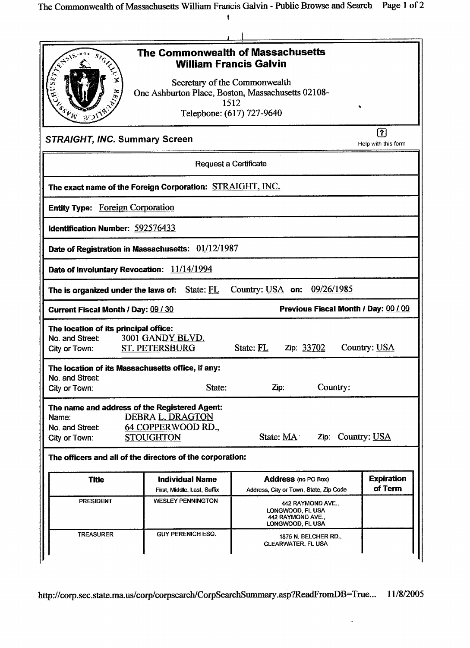The Commonwealth of Massachusetts William Francis Galvin - Public Browse and Search Page 1 of 2  $\blacksquare$ 

| <b>SIGLE</b>                                                                               | The Commonwealth of Massachusetts<br><b>William Francis Galvin</b> |                                                                                |                              |
|--------------------------------------------------------------------------------------------|--------------------------------------------------------------------|--------------------------------------------------------------------------------|------------------------------|
| SERVICE WAS                                                                                | Secretary of the Commonwealth<br>1512                              | One Ashburton Place, Boston, Massachusetts 02108-                              |                              |
|                                                                                            | Telephone: (617) 727-9640                                          |                                                                                |                              |
| <b>STRAIGHT, INC. Summary Screen</b>                                                       |                                                                    |                                                                                | ကြ<br>Help with this form    |
|                                                                                            | <b>Request a Certificate</b>                                       |                                                                                |                              |
|                                                                                            | The exact name of the Foreign Corporation: STRAIGHT, INC.          |                                                                                |                              |
| <b>Entity Type: Foreign Corporation</b>                                                    |                                                                    |                                                                                |                              |
| Identification Number: 592576433                                                           |                                                                    |                                                                                |                              |
|                                                                                            | Date of Registration in Massachusetts: 01/12/1987                  |                                                                                |                              |
| Date of Involuntary Revocation: 11/14/1994                                                 |                                                                    |                                                                                |                              |
| The is organized under the laws of:                                                        | State: FL                                                          | Country: USA on: 09/26/1985                                                    |                              |
| <b>Current Fiscal Month / Day: 09 / 30</b>                                                 |                                                                    | Previous Fiscal Month / Day: 00 / 00                                           |                              |
| The location of its principal office:<br>No. and Street:<br>City or Town:                  | 3001 GANDY BLVD.<br><b>ST. PETERSBURG</b>                          | Zip: 33702<br>State: FL                                                        | Country: USA                 |
| The location of its Massachusetts office, if any:                                          |                                                                    |                                                                                |                              |
| No. and Street:<br>City or Town:                                                           | State:                                                             | Country:<br>Zip:                                                               |                              |
| The name and address of the Registered Agent:<br>Name:<br>No. and Street:<br>City or Town: | DEBRA L. DRAGTON<br>64 COPPERWOOD RD.,<br><b>STOUGHTON</b>         | Zip: Country: USA<br>State: MA                                                 |                              |
|                                                                                            | The officers and all of the directors of the corporation:          |                                                                                |                              |
| <b>Title</b>                                                                               | <b>Individual Name</b><br>First, Middle, Last, Suffix              | <b>Address</b> (no PO Box)<br>Address, City or Town, State, Zip Code           | <b>Expiration</b><br>of Term |
| <b>PRESIDENT</b>                                                                           | <b>WESLEY PENNINGTON</b>                                           | 442 RAYMOND AVE.,<br>LONGWOOD, FL USA<br>442 RAYMOND AVE.,<br>LONGWOOD, FL USA |                              |
| <b>TREASURER</b>                                                                           | <b>GUY PERENICH ESQ.</b>                                           | 1875 N. BELCHER RD.,<br><b>CLEARWATER, FL USA</b>                              |                              |

http://corp.sec.state.ma.us/corp/corpsearch/CorpSearchSummary.asp?ReadFromDB=True... 11/8/2005

 $\overline{\phantom{a}}$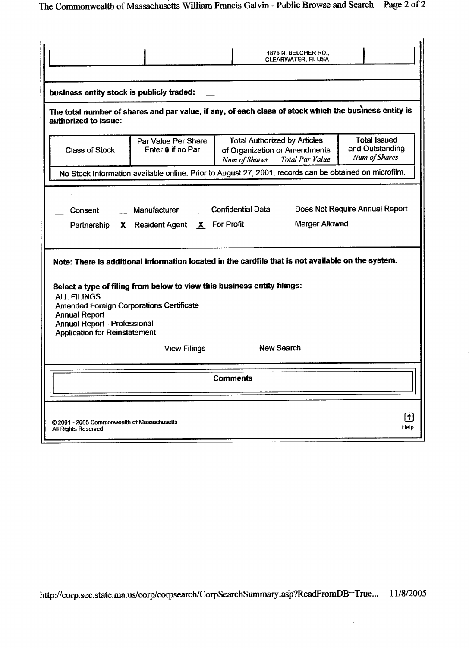|                                                                                                                                                                              |                                           | 1875 N. BELCHER RD.,<br><b>CLEARWATER, FL USA</b>                                                                                                                                            |                                                         |
|------------------------------------------------------------------------------------------------------------------------------------------------------------------------------|-------------------------------------------|----------------------------------------------------------------------------------------------------------------------------------------------------------------------------------------------|---------------------------------------------------------|
| business entity stock is publicly traded:                                                                                                                                    |                                           |                                                                                                                                                                                              |                                                         |
| authorized to issue:                                                                                                                                                         |                                           | The total number of shares and par value, if any, of each class of stock which the business entity is                                                                                        |                                                         |
| <b>Class of Stock</b>                                                                                                                                                        | Par Value Per Share<br>Enter 0 if no Par  | <b>Total Authorized by Articles</b><br>of Organization or Amendments<br>Total Par Value<br>Num of Shares                                                                                     | <b>Total Issued</b><br>and Outstanding<br>Num of Shares |
|                                                                                                                                                                              |                                           | No Stock Information available online. Prior to August 27, 2001, records can be obtained on microfilm.                                                                                       |                                                         |
| Consent                                                                                                                                                                      | Partnership X Resident Agent X For Profit | Manufacturer Confidential Data Does Not Require Annual Report<br><b>Merger Allowed</b><br>Note: There is additional information located in the cardfile that is not available on the system. |                                                         |
| <b>ALL FILINGS</b><br><b>Amended Foreign Corporations Certificate</b><br><b>Annual Report</b><br><b>Annual Report - Professional</b><br><b>Application for Reinstatement</b> |                                           | Select a type of filing from below to view this business entity filings:                                                                                                                     |                                                         |
|                                                                                                                                                                              | <b>View Filings</b>                       | <b>New Search</b>                                                                                                                                                                            |                                                         |
|                                                                                                                                                                              |                                           | Comments                                                                                                                                                                                     |                                                         |
| © 2001 - 2005 Commonwealth of Massachusetts<br>All Rights Reserved                                                                                                           |                                           |                                                                                                                                                                                              | $\left\lceil \mathbf{?} \right\rceil$<br>Help           |

 $\overline{\phantom{a}}$ 

L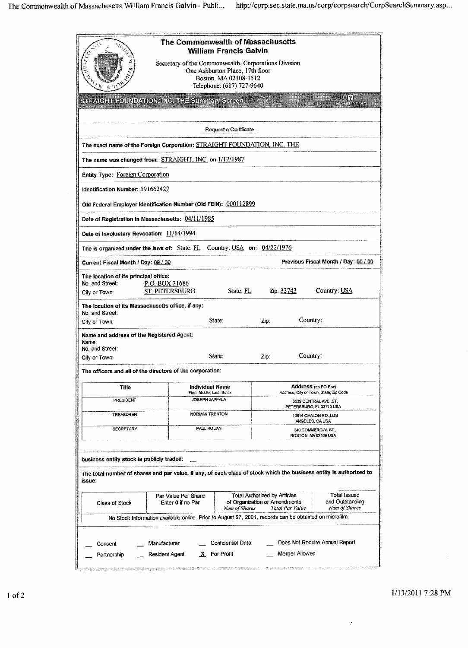|                                                                                      |                                                                                                                     | The Commonwealth of Massachusetts<br><b>William Francis Galvin</b> |                                                    |                                      |  |
|--------------------------------------------------------------------------------------|---------------------------------------------------------------------------------------------------------------------|--------------------------------------------------------------------|----------------------------------------------------|--------------------------------------|--|
|                                                                                      |                                                                                                                     |                                                                    |                                                    |                                      |  |
| yt i se                                                                              | Secretary of the Commonwealth, Corporations Division                                                                | One Ashburton Place, 17th floor                                    |                                                    |                                      |  |
| Boston, MA 02108-1512<br>$\delta\nu_{K}$<br>$3^{11/10}$<br>Telephone: (617) 727-9640 |                                                                                                                     |                                                                    |                                                    |                                      |  |
|                                                                                      |                                                                                                                     |                                                                    |                                                    | 1?!                                  |  |
|                                                                                      | STRAIGHT FOUNDATION, INC. THE Summary Screen                                                                        |                                                                    |                                                    | <b>Tick Subscio</b>                  |  |
|                                                                                      |                                                                                                                     |                                                                    |                                                    |                                      |  |
|                                                                                      |                                                                                                                     | Request a Certificate                                              |                                                    |                                      |  |
|                                                                                      | The exact name of the Foreign Corporation: STRAIGHT FOUNDATION, INC. THE                                            |                                                                    |                                                    |                                      |  |
|                                                                                      | The name was changed from: STRAIGHT, INC. on 1/12/1987                                                              |                                                                    |                                                    |                                      |  |
| <b>Entity Type: Foreign Corporation</b>                                              |                                                                                                                     |                                                                    |                                                    |                                      |  |
| Identification Number: 591662427                                                     |                                                                                                                     |                                                                    |                                                    |                                      |  |
|                                                                                      | Old Federal Employer Identification Number (Old FEIN): 000112899                                                    |                                                                    |                                                    |                                      |  |
|                                                                                      | Date of Registration in Massachusetts: 04/11/1985                                                                   |                                                                    |                                                    |                                      |  |
| Date of Involuntary Revocation: 11/14/1994                                           |                                                                                                                     |                                                                    |                                                    |                                      |  |
|                                                                                      | The is organized under the laws of: State: FL Country: USA on: 04/22/1976                                           |                                                                    |                                                    |                                      |  |
| Current Fiscal Month / Day: 09 / 30                                                  |                                                                                                                     |                                                                    |                                                    | Previous Fiscal Month / Day: 00 / 00 |  |
| The location of its principal office:<br>No. and Street:                             |                                                                                                                     |                                                                    |                                                    |                                      |  |
| City or Town:                                                                        | P.O. BOX 21686<br><b>ST. PETERSBURG</b>                                                                             | State: FL                                                          | Zip: 33743                                         | Country: USA                         |  |
|                                                                                      | The location of its Massachusetts office, if any:                                                                   |                                                                    |                                                    |                                      |  |
| No. and Street:                                                                      |                                                                                                                     |                                                                    |                                                    |                                      |  |
| City or Town:                                                                        |                                                                                                                     | State:                                                             | Country:<br>Zip:                                   |                                      |  |
| Name and address of the Registered Agent:<br>Name:                                   |                                                                                                                     |                                                                    |                                                    |                                      |  |
| No. and Street:                                                                      |                                                                                                                     |                                                                    |                                                    |                                      |  |
| City or Town:                                                                        |                                                                                                                     | State:                                                             | Country:<br>Zip:                                   |                                      |  |
|                                                                                      | The officers and all of the directors of the corporation:                                                           |                                                                    |                                                    |                                      |  |
| Title                                                                                |                                                                                                                     | Individual Name                                                    | Address (no PO Box)                                |                                      |  |
| PRESIDENT                                                                            |                                                                                                                     | First, Middle, Last, Suffix<br>JOSEPH ZAPPALA                      | Address, City or Town, State, Zip Code             |                                      |  |
|                                                                                      |                                                                                                                     |                                                                    | 6539 CENTRAL AVE., ST.<br>PETERSBURG, FL 33710 USA |                                      |  |
| TREASURER                                                                            |                                                                                                                     | <b>NORMAN TRENTON</b>                                              | ANGELES, CA USA                                    | 10614 CHALON RD., LOS                |  |
| <b>SECRETARY</b>                                                                     |                                                                                                                     | PAUL HOLIAN                                                        | 240 COMMERCIAL ST.,<br>BOSTON, MA 02109 USA        |                                      |  |
|                                                                                      |                                                                                                                     |                                                                    |                                                    |                                      |  |
|                                                                                      |                                                                                                                     |                                                                    |                                                    |                                      |  |
| business entity stock is publicly traded:                                            |                                                                                                                     |                                                                    |                                                    |                                      |  |
| issue:                                                                               | The total number of shares and par value, if any, of each class of stock which the business entity is authorized to |                                                                    |                                                    |                                      |  |
|                                                                                      | Par Value Per Share                                                                                                 |                                                                    | <b>Total Authorized by Articles</b>                | <b>Total Issued</b>                  |  |
| Class of Stock                                                                       | Enter 0 if no Par                                                                                                   | Num of Shares                                                      | of Organization or Amendments<br>Total Par Value   | and Outstanding<br>Num of Shares     |  |
|                                                                                      | No Stock Information available online. Prior to August 27, 2001, records can be obtained on microfilm.              |                                                                    |                                                    |                                      |  |
|                                                                                      |                                                                                                                     |                                                                    |                                                    |                                      |  |
|                                                                                      |                                                                                                                     |                                                                    |                                                    |                                      |  |
|                                                                                      |                                                                                                                     |                                                                    |                                                    |                                      |  |
| Consent<br>Partnership                                                               | Manufacturer<br>Resident Agent                                                                                      | Confidential Data<br>X For Profit                                  | Merger Allowed                                     | Does Not Require Annual Report       |  |

 $\ddot{\phantom{0}}$